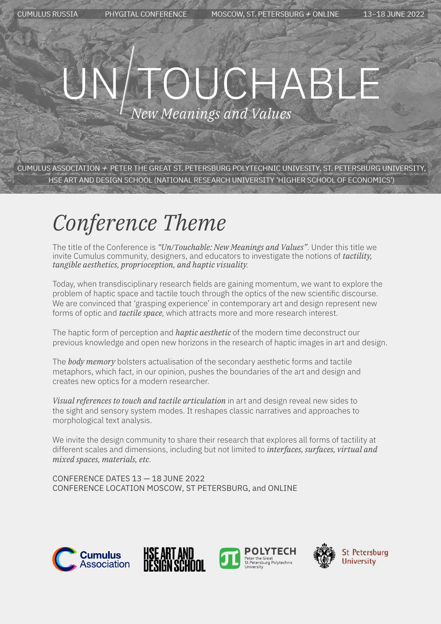13-18 JUNE 2022

# UCHAB New Meanings and Values

CUMULUS ASSOCIATION  $\pm$  PETER THE GREAT ST. PETERSBURG POLYTECHNIC UNIVESITY, ST. PETERSBURG UNIVERSITY, HSE ART AND DESIGN SCHOOL (NATIONAL RESEARCH UNIVERSITY 'HIGHER SCHOOL OF ECONOMICS')

## *Conference Theme*

The title of the Conference is *"Un/Touchable: New Meanings and Values"*. Under this title we invite Cumulus community, designers, and educators to investigate the notions of *tactility, tangible aesthetics, proprioception, and haptic visuality*.

Today, when transdisciplinary research fields are gaining momentum, we want to explore the problem of haptic space and tactile touch through the optics of the new scientific discourse. We are convinced that 'grasping experience' in contemporary art and design represent new forms of optic and *tactile space*, which attracts more and more research interest.

The haptic form of perception and *haptic aesthetic* of the modern time deconstruct our previous knowledge and open new horizons in the research of haptic images in art and design.

The *body memory* bolsters actualisation of the secondary aesthetic forms and tactile metaphors, which fact, in our opinion, pushes the boundaries of the art and design and creates new optics for a modern researcher.

*Visual references to touch and tactile articulation* in art and design reveal new sides to the sight and sensory system modes. It reshapes classic narratives and approaches to morphological text analysis.

We invite the design community to share their research that explores all forms of tactility at different scales and dimensions, including but not limited to *interfaces, surfaces, virtual and mixed spaces, materials, etc*.

CONFERENCE DATES 13 — 18 JUNE 2022 CONFERENCE LOCATION MOSCOW, ST PETERSBURG, and ONLINE









**St Petersburg University**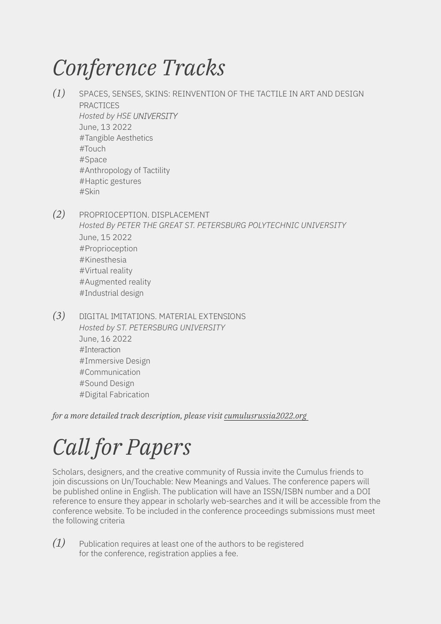## *Conference Tracks*

- *(1)* SPACES, SENSES, SKINS: REINVENTION OF THE TACTILE IN ART AND DESIGN PRACTICES *Hosted by HSE UNIVERSITY* June, 13 2022 #Tangible Aesthetics #Touch #Space #Anthropology of Tactility #Haptic gestures #Skin
- *(2)* PROPRIOCEPTION. DISPLACEMENT *Hosted By PETER THE GREAT ST. PETERSBURG POLYTECHNIC UNIVERSITY* June, 15 2022 #Proprioception #Kinesthesia #Virtual reality #Augmented reality #Industrial design
- *(3)* DIGITAL IMITATIONS. MATERIAL EXTENSIONS *Hosted by ST. PETERSBURG UNIVERSITY* June, 16 2022 #Interaction #Immersive Design #Communication #Sound Design #Digital Fabrication

*for a more detailed track description, please visit cumulusrussia2022.org*

## *Call for Papers*

Scholars, designers, and the creative community of Russia invite the Cumulus friends to join discussions on Un/Touchable: New Meanings and Values. The conference papers will be published online in English. The publication will have an ISSN/ISBN number and a DOI reference to ensure they appear in scholarly web-searches and it will be accessible from the conference website. To be included in the conference proceedings submissions must meet the following criteria

*(1)* Publication requires at least one of the authors to be registered for the conference, registration applies a fee.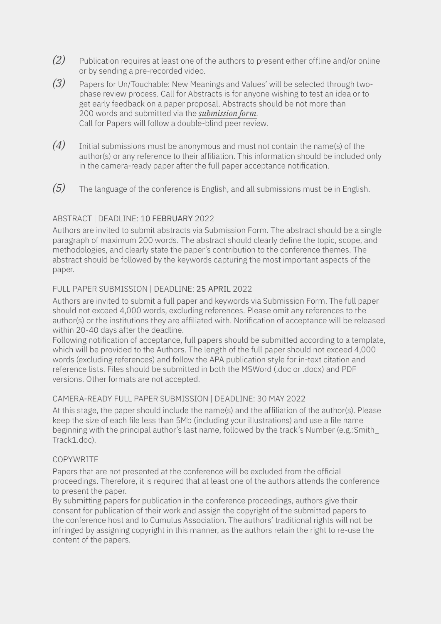- *(2)* Publication requires at least one of the authors to present either offline and/or online or by sending a pre-recorded video.
- *(3)* Papers for Un/Touchable: New Meanings and Values' will be selected through twophase review process. Call for Abstracts is for anyone wishing to test an idea or to get early feedback on a paper proposal. Abstracts should be not more than 200 words and submitted via the *submission form*. Call for Papers will follow a double-blind peer review.
- *(4)* Initial submissions must be anonymous and must not contain the name(s) of the author(s) or any reference to their affiliation. This information should be included only in the camera-ready paper after the full paper acceptance notification.
- *(5)* The language of the conference is English, and all submissions must be in English.

#### ABSTRACT | DEADLINE: 10 FEBRUARY 2022

Authors are invited to submit abstracts via Submission Form. The abstract should be a single paragraph of maximum 200 words. The abstract should clearly define the topic, scope, and methodologies, and clearly state the paper's contribution to the conference themes. The abstract should be followed by the keywords capturing the most important aspects of the paper.

#### FULL PAPER SUBMISSION | DEADLINE: 25 APRIL 2022

Authors are invited to submit a full paper and keywords via Submission Form. The full paper should not exceed 4,000 words, excluding references. Please omit any references to the author(s) or the institutions they are affiliated with. Notification of acceptance will be released within 20-40 days after the deadline.

Following notification of acceptance, full papers should be submitted according to a template, which will be provided to the Authors. The length of the full paper should not exceed 4,000 words (excluding references) and follow the APA publication style for in-text citation and reference lists. Files should be submitted in both the MSWord (.doc or .docx) and PDF versions. Other formats are not accepted.

#### CAMERA-READY FULL PAPER SUBMISSION | DEADLINE: 30 MAY 2022

At this stage, the paper should include the name(s) and the affiliation of the author(s). Please keep the size of each file less than 5Mb (including your illustrations) and use a file name beginning with the principal author's last name, followed by the track's Number (e.g.:Smith\_ Track1.doc).

#### **COPYWRITE**

Papers that are not presented at the conference will be excluded from the official proceedings. Therefore, it is required that at least one of the authors attends the conference to present the paper.

By submitting papers for publication in the conference proceedings, authors give their consent for publication of their work and assign the copyright of the submitted papers to the conference host and to Cumulus Association. The authors' traditional rights will not be infringed by assigning copyright in this manner, as the authors retain the right to re-use the content of the papers.